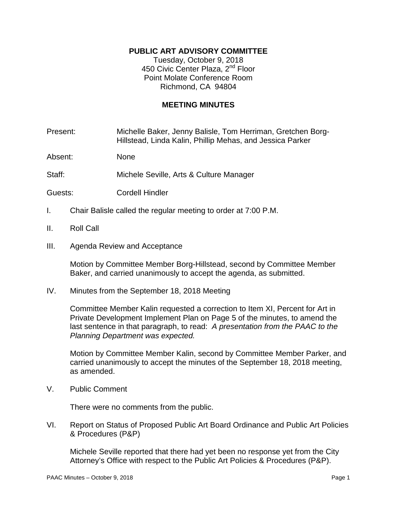## **PUBLIC ART ADVISORY COMMITTEE**

Tuesday, October 9, 2018 450 Civic Center Plaza, 2<sup>nd</sup> Floor Point Molate Conference Room Richmond, CA 94804

## **MEETING MINUTES**

Present: Michelle Baker, Jenny Balisle, Tom Herriman, Gretchen Borg-Hillstead, Linda Kalin, Phillip Mehas, and Jessica Parker

Absent: None

Staff: Michele Seville, Arts & Culture Manager

- Guests: Cordell Hindler
- I. Chair Balisle called the regular meeting to order at 7:00 P.M.
- II. Roll Call
- III. Agenda Review and Acceptance

Motion by Committee Member Borg-Hillstead, second by Committee Member Baker, and carried unanimously to accept the agenda, as submitted.

IV. Minutes from the September 18, 2018 Meeting

Committee Member Kalin requested a correction to Item XI, Percent for Art in Private Development Implement Plan on Page 5 of the minutes, to amend the last sentence in that paragraph, to read: *A presentation from the PAAC to the Planning Department was expected.* 

Motion by Committee Member Kalin, second by Committee Member Parker, and carried unanimously to accept the minutes of the September 18, 2018 meeting, as amended.

V. Public Comment

There were no comments from the public.

VI. Report on Status of Proposed Public Art Board Ordinance and Public Art Policies & Procedures (P&P)

Michele Seville reported that there had yet been no response yet from the City Attorney's Office with respect to the Public Art Policies & Procedures (P&P).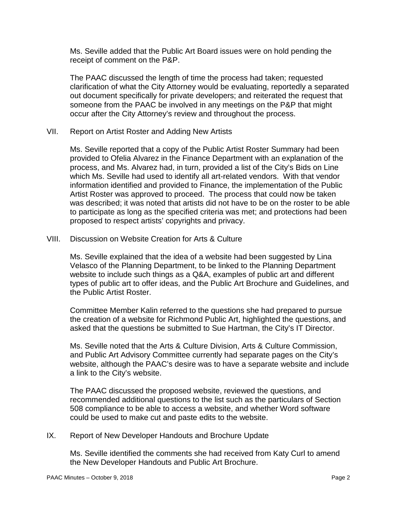Ms. Seville added that the Public Art Board issues were on hold pending the receipt of comment on the P&P.

The PAAC discussed the length of time the process had taken; requested clarification of what the City Attorney would be evaluating, reportedly a separated out document specifically for private developers; and reiterated the request that someone from the PAAC be involved in any meetings on the P&P that might occur after the City Attorney's review and throughout the process.

VII. Report on Artist Roster and Adding New Artists

Ms. Seville reported that a copy of the Public Artist Roster Summary had been provided to Ofelia Alvarez in the Finance Department with an explanation of the process, and Ms. Alvarez had, in turn, provided a list of the City's Bids on Line which Ms. Seville had used to identify all art-related vendors. With that vendor information identified and provided to Finance, the implementation of the Public Artist Roster was approved to proceed. The process that could now be taken was described; it was noted that artists did not have to be on the roster to be able to participate as long as the specified criteria was met; and protections had been proposed to respect artists' copyrights and privacy.

VIII. Discussion on Website Creation for Arts & Culture

Ms. Seville explained that the idea of a website had been suggested by Lina Velasco of the Planning Department, to be linked to the Planning Department website to include such things as a Q&A, examples of public art and different types of public art to offer ideas, and the Public Art Brochure and Guidelines, and the Public Artist Roster.

Committee Member Kalin referred to the questions she had prepared to pursue the creation of a website for Richmond Public Art, highlighted the questions, and asked that the questions be submitted to Sue Hartman, the City's IT Director.

Ms. Seville noted that the Arts & Culture Division, Arts & Culture Commission, and Public Art Advisory Committee currently had separate pages on the City's website, although the PAAC's desire was to have a separate website and include a link to the City's website.

The PAAC discussed the proposed website, reviewed the questions, and recommended additional questions to the list such as the particulars of Section 508 compliance to be able to access a website, and whether Word software could be used to make cut and paste edits to the website.

IX. Report of New Developer Handouts and Brochure Update

Ms. Seville identified the comments she had received from Katy Curl to amend the New Developer Handouts and Public Art Brochure.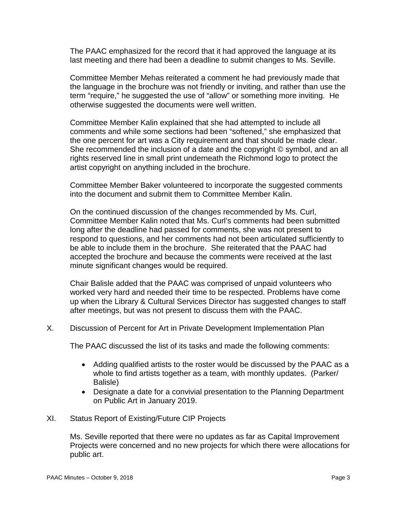The PAAC emphasized for the record that it had approved the language at its last meeting and there had been a deadline to submit changes to Ms. Seville.

Committee Member Mehas reiterated a comment he had previously made that the language in the brochure was not friendly or inviting, and rather than use the term "require," he suggested the use of "allow" or something more inviting. He otherwise suggested the documents were well written.

Committee Member Kalin explained that she had attempted to include all comments and while some sections had been "softened," she emphasized that the one percent for art was a City requirement and that should be made clear. She recommended the inclusion of a date and the copyright © symbol, and an all rights reserved line in small print underneath the Richmond logo to protect the artist copyright on anything included in the brochure.

Committee Member Baker volunteered to incorporate the suggested comments into the document and submit them to Committee Member Kalin.

On the continued discussion of the changes recommended by Ms. Curl, Committee Member Kalin noted that Ms. Curl's comments had been submitted long after the deadline had passed for comments, she was not present to respond to questions, and her comments had not been articulated sufficiently to be able to include them in the brochure. She reiterated that the PAAC had accepted the brochure and because the comments were received at the last minute significant changes would be required.

Chair Balisle added that the PAAC was comprised of unpaid volunteers who worked very hard and needed their time to be respected. Problems have come up when the Library & Cultural Services Director has suggested changes to staff after meetings, but was not present to discuss them with the PAAC.

X. Discussion of Percent for Art in Private Development Implementation Plan

The PAAC discussed the list of its tasks and made the following comments:

- Adding qualified artists to the roster would be discussed by the PAAC as a whole to find artists together as a team, with monthly updates. (Parker/ Balisle)
- Designate a date for a convivial presentation to the Planning Department on Public Art in January 2019.

## XI. Status Report of Existing/Future CIP Projects

Ms. Seville reported that there were no updates as far as Capital Improvement Projects were concerned and no new projects for which there were allocations for public art.